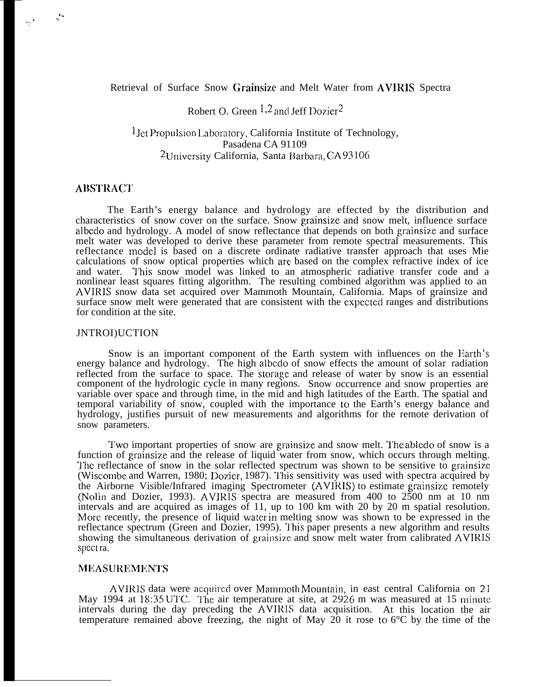## Retrieval of Surface Snow Grainsizc and Melt Water from AVIRIS Spectra

# Robert O. Green  $1,2$  and Jeff Dozier<sup>2</sup>

## <sup>1</sup>Jet Propulsion Laboratory, California Institute of Technology, Pasadena CA 91109  $2$ University California, Santa Barbara, CA 93106

#### **ABSTRACT**

 $\mathcal{F}_{\mathcal{F}}$ 

The Earth's energy balance and hydrology are effected by the distribution and characteristics of snow cover on the surface. Snow grainsize and snow melt, influence surface albcdo and hydrology. A model of snow reflectance that depends on both grainsize and surface melt water was developed to derive these parameter from remote spectral measurements. This reflectance model is based on a discrete ordinate radiative transfer approach that uses Mie calculations of snow optical properties which are. based on the complex refractive index of ice and water. This snow model was linked to an atmospheric radiative transfer code and a nonlinear least squares fitting algorithm. The resulting combined algorithm was applied to an AVIRIS snow data set acquired over Mammoth Mountain, California. Maps of grainsize and surface snow melt were generated that are consistent with the expectecl ranges and distributions for condition at the site.

#### JNTROI)UCTION

Snow is an important component of the Earth system with influences on the Earth's energy balance and hydrology. The high albedo of snow effects the amount of solar radiation reflected from the surface to space. The storage and release of water by snow is an essential component of the hydrologic cycle in many regions. Snow occurrence and snow properties are variable over space and through time, in the mid and high latitudes of the Earth. The spatial and temporal variability of snow, coupled with the importance to the Earth's energy balance and hydrology, justifies pursuit of new measurements and algorithms for the remote derivation of snow parameters.

Two important properties of snow are grainsize and snow melt. The abledo of snow is a function of grainsize and the release of liquid water from snow, which occurs through melting. 'J'hc reflectance of snow in the solar reflected spectrum was shown to be sensitive to grainsize (Wiscombe and Warren, 1980; Dozier, 1987). This sensitivity was used with spectra acquired by the Airborne Visible/Infrared imaging Spectrometer (AVIRIS) to estimate grainsizc remotely (Nolin and Dozier, 1993). AVIRIS spectra are measured from 400 to 2500 nm at 10 nm intervals and are acquired as images of 11, up to 100 km with 20 by 20 m spatial resolution. More recently, the presence of liquid water in melting snow was shown to be expressed in the reflectance spectrum (Green and Dozier, 1995). This paper presents a new algorithm and results showing the simultaneous derivation of grainsize and snow melt water from calibrated AVIRIS spect ra.

#### **MEASUREMENTS**

AVIRIS data were acquired over Mammoth Mountain, in east central California on 21 May 1994 at 18:35 UTC. The air temperature at site, at 2926 m was measured at 15 minute intervals during the day preceding the AVIRIS data acquisition. At this location the air temperature remained above freezing, the night of May 20 it rose to  $6^{\circ}$ C by the time of the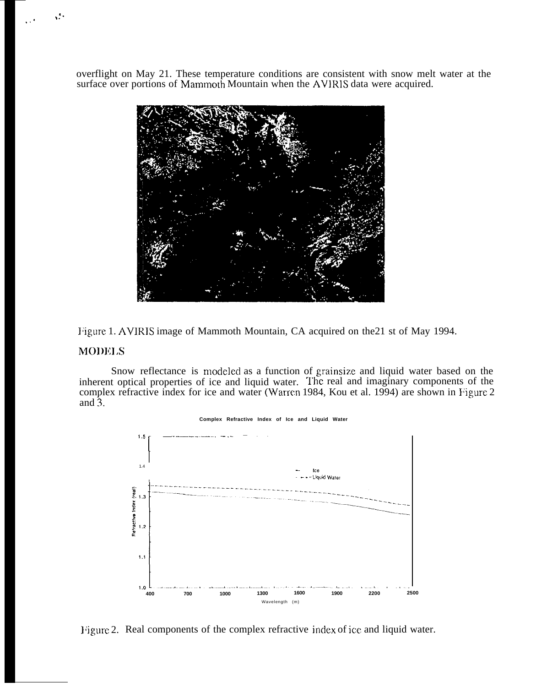overflight on May 21. These temperature conditions are consistent with snow melt water at the surface over portions of Mammoth Mountain when the AVIRIS data were acquired.



Figure 1. AVIRIS image of Mammoth Mountain, CA acquired on the 21 st of May 1994.

## **MODELS**

Å,

Snow reflectance is modeled as a function of grainsize and liquid water based on the inherent optical properties of ice and liquid water. The real and imaginary components of the complex refractive index for ice and water (Warren 1984, Kou et al. 1994) are shown in Figure 2 and  $\overline{3}$ .



Complex Refractive Index of Ice and Liquid Water

Figure 2. Real components of the complex refractive index of ice and liquid water.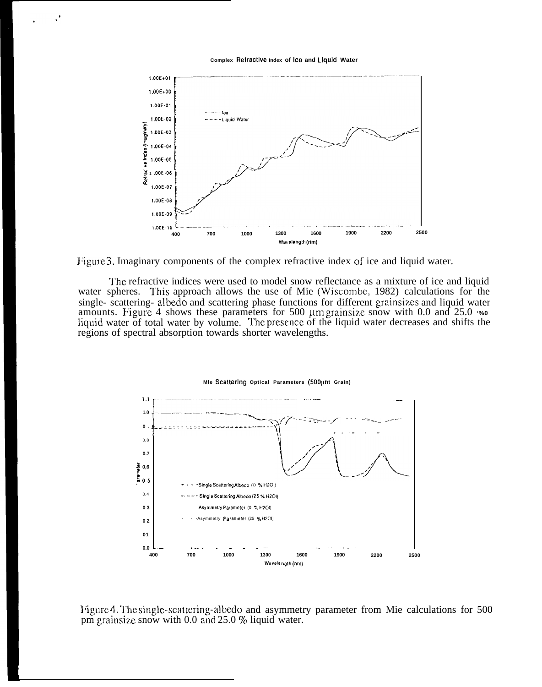Complex Refractive Index of Ice and Liquid Water



Figure 3. Imaginary components of the complex refractive index of ice and liquid water.

The refractive indices were used to model snow reflectance as a mixture of ice and liquid water spheres. This approach allows the use of Mie (Wiscombe, 1982) calculations for the single- scattering- albedo and scattering phase functions for different grainsizes and liquid water amounts. Figure 4 shows these parameters for 500  $\mu$ m grainsize snow with 0.0 and 25.0  $\cdot\%$ liquid water of total water by volume. The presence of the liquid water decreases and shifts the regions of spectral absorption towards shorter wavelengths.



Figure 4. The single-scattering-albedo and asymmetry parameter from Mie calculations for 500 pm grainsize snow with 0.0 and 25.0 % liquid water.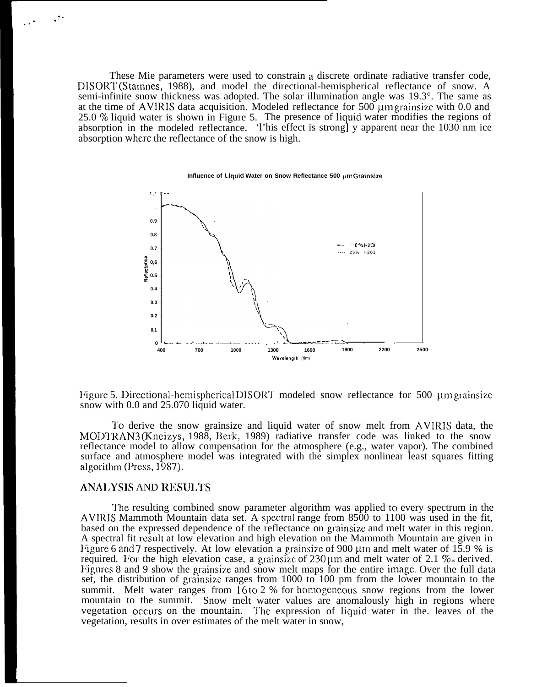These Mie parameters were used to constrain a discrete ordinate radiative transfer code, DISORT (Stampes, 1988), and model the directional-hemispherical reflectance of snow. A semi-infinite snow thickness was adopted. The solar illumination angle was 19.3°. The same as at the time of AVIRIS data acquisition. Modeled reflectance for 500 µm grainsize with 0.0 and 25.0 % liquid water is shown in Figure 5. The presence of liquid water modifies the regions of absorption in the modeled reflectance. This effect is strong] y apparent near the 1030 nm ice absorption where the reflectance of the snow is high.



Influence of Liquid Water on Snow Reflectance 500 µmGrainsize

Figure 5. Directional-hemispherical DISORT modeled snow reflectance for 500 um grainsize snow with 0.0 and 25.070 liquid water.

To derive the snow grainsize and liquid water of snow melt from AVIRIS data, the MODTRAN3 (Kneizys, 1988, Berk, 1989) radiative transfer code was linked to the snow reflectance model to allow compensation for the atmosphere (e.g., water vapor). The combined surface and atmosphere model was integrated with the simplex nonlinear least squares fitting algorithm (Press,  $1\overline{9}87$ ).

#### **ANALYSIS AND RESULTS**

The resulting combined snow parameter algorithm was applied to every spectrum in the AVIRIS Mammoth Mountain data set. A spectral range from 8500 to 1100 was used in the fit, based on the expressed dependence of the reflectance on grainsize and melt water in this region. A spectral fit result at low elevation and high elevation on the Mammoth Mountain are given in Figure 6 and 7 respectively. At low elevation a grainsize of 900 µm and melt water of 15.9 % is required. For the high elevation case, a grainsize of  $230 \mu m$  and melt water of 2.1 % s derived. Figures 8 and 9 show the grainsize and snow melt maps for the entire image. Over the full data set, the distribution of grainsize ranges from 1000 to 100 pm from the lower mountain to the summit. Melt water ranges from 16 to 2 % for homogeneous snow regions from the lower mountain to the summit. Snow melt water values are anomalously high in regions where vegetation occurs on the mountain. The expression of liquid water in the leaves of the vegetation, results in over estimates of the melt water in snow.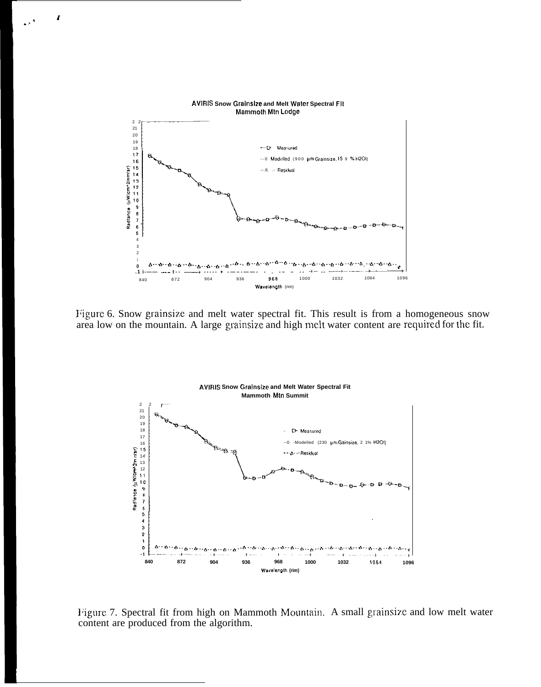

 $\mathbf{f}$ 

 $\ddot{\phantom{0}}$ 

Figure 6. Snow grainsize and melt water spectral fit. This result is from a homogeneous snow area low on the mountain. A large grainsize and high melt water content are required for the fit.



Figure 7. Spectral fit from high on Mammoth Mountain. A small grainsize and low melt water content are produced from the algorithm.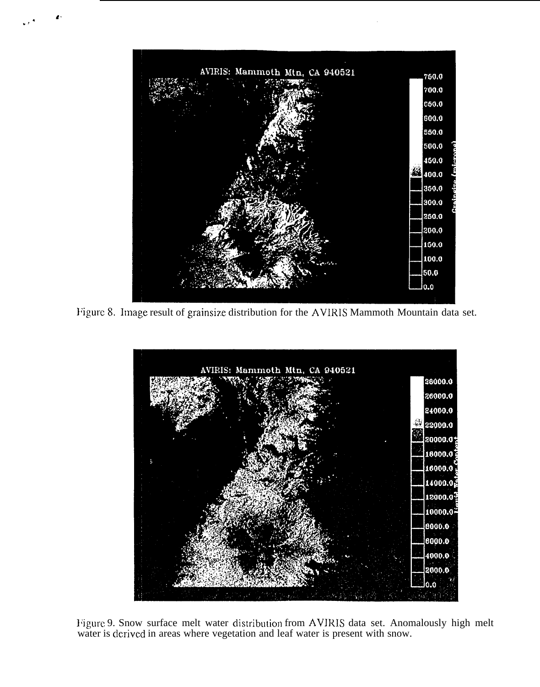

Figure 8. Image result of grainsize distribution for the AVIRIS Mammoth Mountain data set.



Figure 9. Snow surface melt water distribution from AVIRIS data set. Anomalously high melt water is derived in areas where vegetation and leaf water is present with snow.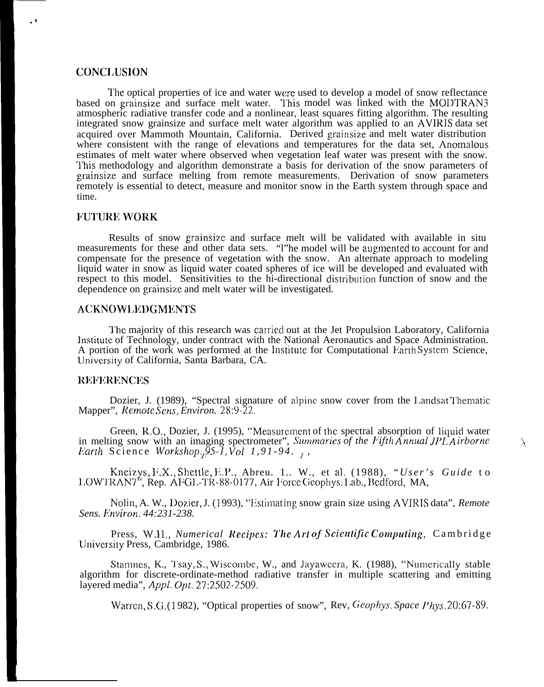## CONCI.USION

The optical properties of ice and water were used to develop a model of snow reflectance based on grainsize and surface melt water. 7'his model was linked with the MODTRAN3 atmospheric radiative transfer code and a nonlinear, least squares fitting algorithm. The resulting integrated snow grainsize and surface melt water algorithm was applied to an AVIRIS data set acquired over Mammoth Mountain, California. Derived grainsize and melt water distribution where consistent with the range of elevations and temperatures for the data set, Anomalous estimates of melt water where observed when vegetation leaf water was present with the snow. 'l'his methodology and algorithm demonstrate a basis for derivation of the snow parameters of grainsize and surface melting from remote measurements. Derivation of snow parameters remotely is essential to detect, measure and monitor snow in the Earth system through space and time.

#### **FUTURE WORK**

Results of snow grainsize and surface melt will be validated with available in situ measurements for these and other data sets. "I"he model will be augmented to account for and compensate for the presence of vegetation with the snow. An alternate approach to modeling liquid water in snow as liquid water coated spheres of ice will be developed and evaluated with respect to this model. Sensitivities to the hi-directional distribution function of snow and the dependence on grainsize and melt water will be investigated.

#### ACKNOW1.l!DGMENTS

The majority of this research was carried out at the Jet Propulsion Laboratory, California Institute of Technology, under contract with the National Aeronautics and Space Administration. A portion of the work was performed at the Institute for Computational Earth System Science, lJnivcrsity of California, Santa Barbara, CA.

#### **REFERENCES**

Dozier, J. (1989), "Spectral signature of alpine snow cover from the Landsat Thematic Mapper", *Remote Sens, Environ.* 28:9-22.

Green, R.O., Dozier, J. (1995), "Measurement of the spectral absorption of liquid water in melting snow with an imaging spectrometer", *Summaries of the Fifth Annual JPL Airborne Earth* Science *Workshop.*,  $\overline{9}5$ -*I*,  $\overline{V}ol$  1, 91-94.

Kneizys, F.X., Shettle, E.P., Abreu. 1.. W., et al. (1988), *"User's Guide* to LOWTRAN7", Rep. AFGL-TR-88-0177, Air Force Geophys. Lab., Bedford, MA,

Nolin, A. W., Dozier, J. (1993), "Estimating snow grain size using AVIRIS data", *Remote Sens. I:nviron. 44:231-238.*

Press, W.H., *Numerical Recipes: The Art of Scientific Computing, Cambridge* lJniversity Press, Cambridge, 1986.

Stamnes, K., Tsay, S., Wiscombe, W., and Jayaweera, K. (1988), "Numerically stable algorithm for discrete-ordinate-method radiative transfer in multiple scattering and emitting layered media", *Appl. Opt.* 27:2502-2509.

Warren, S.G. (1982), "Optical properties of snow", Rev, *Geophys. Space Phys.* 20:67-89.